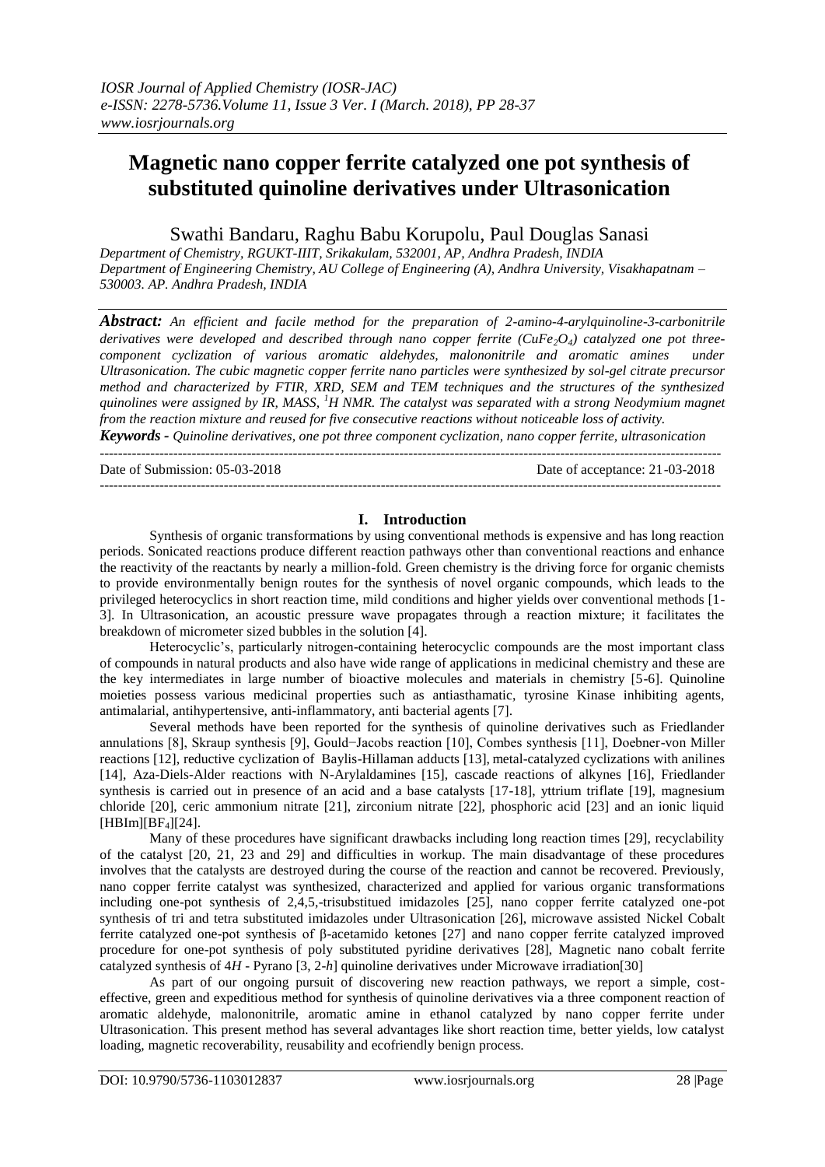# **Magnetic nano copper ferrite catalyzed one pot synthesis of substituted quinoline derivatives under Ultrasonication**

## Swathi Bandaru, Raghu Babu Korupolu, Paul Douglas Sanasi

*Department of Chemistry, RGUKT-IIIT, Srikakulam, 532001, AP, Andhra Pradesh, INDIA Department of Engineering Chemistry, AU College of Engineering (A), Andhra University, Visakhapatnam – 530003. AP. Andhra Pradesh, INDIA*

*Abstract: An efficient and facile method for the preparation of 2-amino-4-arylquinoline-3-carbonitrile*  derivatives were developed and described through nano copper ferrite (CuFe<sub>2</sub>O<sub>4</sub>) catalyzed one pot three-<br>component cyclization of various aromatic aldehydes, malononitrile and aromatic amines under *component cyclization of various aromatic aldehydes, malononitrile and aromatic amines Ultrasonication. The cubic magnetic copper ferrite nano particles were synthesized by sol-gel citrate precursor method and characterized by FTIR, XRD, SEM and TEM techniques and the structures of the synthesized quinolines were assigned by IR, MASS, <sup>1</sup>H NMR. The catalyst was separated with a strong Neodymium magnet from the reaction mixture and reused for five consecutive reactions without noticeable loss of activity.*

*Keywords - Quinoline derivatives, one pot three component cyclization, nano copper ferrite, ultrasonication*

Date of Submission: 05-03-2018

---------------------------------------------------------------------------------------------------------------------------------------

## **I. Introduction**

Synthesis of organic transformations by using conventional methods is expensive and has long reaction periods. Sonicated reactions produce different reaction pathways other than conventional reactions and enhance the reactivity of the reactants by nearly a million-fold. Green chemistry is the driving force for organic chemists to provide environmentally benign routes for the synthesis of novel organic compounds, which leads to the privileged heterocyclics in short reaction time, mild conditions and higher yields over conventional methods [1- 3]. In Ultrasonication, an acoustic pressure wave propagates through a reaction mixture; it facilitates the breakdown of micrometer sized bubbles in the solution [4].

Heterocyclic's, particularly nitrogen-containing heterocyclic compounds are the most important class of compounds in natural products and also have wide range of applications in medicinal chemistry and these are the key intermediates in large number of bioactive molecules and materials in chemistry [5-6]. Quinoline moieties possess various medicinal properties such as antiasthamatic, tyrosine Kinase inhibiting agents, antimalarial, antihypertensive, anti-inflammatory, anti bacterial agents [7].

Several methods have been reported for the synthesis of quinoline derivatives such as Friedlander annulations [8], Skraup synthesis [9], Gould−Jacobs reaction [10], Combes synthesis [11], Doebner-von Miller reactions [12], reductive cyclization of Baylis-Hillaman adducts [13], metal-catalyzed cyclizations with anilines [14], Aza-Diels-Alder reactions with N-Arylaldamines [15], cascade reactions of alkynes [16], Friedlander synthesis is carried out in presence of an acid and a base catalysts [17-18], yttrium triflate [19], magnesium chloride [20], ceric ammonium nitrate [21], zirconium nitrate [22], phosphoric acid [23] and an ionic liquid  $[HBIm][BF<sub>4</sub>][24].$ 

Many of these procedures have significant drawbacks including long reaction times [29], recyclability of the catalyst [20, 21, 23 and 29] and difficulties in workup. The main disadvantage of these procedures involves that the catalysts are destroyed during the course of the reaction and cannot be recovered. Previously, nano copper ferrite catalyst was synthesized, characterized and applied for various organic transformations including one-pot synthesis of 2,4,5,-trisubstitued imidazoles [25], nano copper ferrite catalyzed one-pot synthesis of tri and tetra substituted imidazoles under Ultrasonication [26], microwave assisted Nickel Cobalt ferrite catalyzed one-pot synthesis of β-acetamido ketones [27] and nano copper ferrite catalyzed improved procedure for one-pot synthesis of poly substituted pyridine derivatives [28], Magnetic nano cobalt ferrite catalyzed synthesis of 4*H* - Pyrano [3, 2-*h*] quinoline derivatives under Microwave irradiation[30]

As part of our ongoing pursuit of discovering new reaction pathways, we report a simple, costeffective, green and expeditious method for synthesis of quinoline derivatives via a three component reaction of aromatic aldehyde, malononitrile, aromatic amine in ethanol catalyzed by nano copper ferrite under Ultrasonication. This present method has several advantages like short reaction time, better yields, low catalyst loading, magnetic recoverability, reusability and ecofriendly benign process.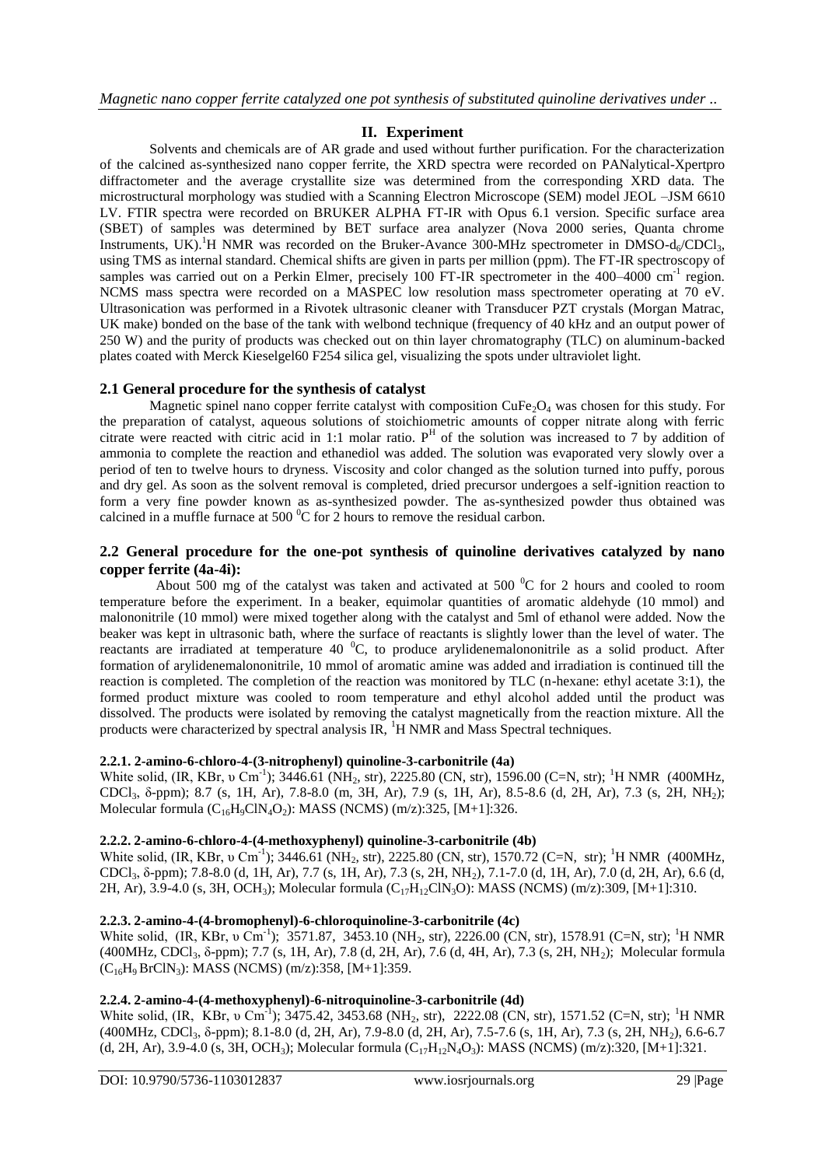## **II. Experiment**

Solvents and chemicals are of AR grade and used without further purification. For the characterization of the calcined as-synthesized nano copper ferrite, the XRD spectra were recorded on PANalytical-Xpertpro diffractometer and the average crystallite size was determined from the corresponding XRD data. The microstructural morphology was studied with a Scanning Electron Microscope (SEM) model JEOL –JSM 6610 LV. FTIR spectra were recorded on BRUKER ALPHA FT-IR with Opus 6.1 version. Specific surface area (SBET) of samples was determined by BET surface area analyzer (Nova 2000 series, Quanta chrome Instruments, UK).<sup>1</sup>H NMR was recorded on the Bruker-Avance 300-MHz spectrometer in DMSO-d<sub>6</sub>/CDCl<sub>3</sub>, using TMS as internal standard. Chemical shifts are given in parts per million (ppm). The FT-IR spectroscopy of samples was carried out on a Perkin Elmer, precisely 100 FT-IR spectrometer in the 400–4000 cm<sup>-1</sup> region. NCMS mass spectra were recorded on a MASPEC low resolution mass spectrometer operating at 70 eV. Ultrasonication was performed in a Rivotek ultrasonic cleaner with Transducer PZT crystals (Morgan Matrac, UK make) bonded on the base of the tank with welbond technique (frequency of 40 kHz and an output power of 250 W) and the purity of products was checked out on thin layer chromatography (TLC) on aluminum-backed plates coated with Merck Kieselgel60 F254 silica gel, visualizing the spots under ultraviolet light.

## **2.1 General procedure for the synthesis of catalyst**

Magnetic spinel nano copper ferrite catalyst with composition  $CuFe<sub>2</sub>O<sub>4</sub>$  was chosen for this study. For the preparation of catalyst, aqueous solutions of stoichiometric amounts of copper nitrate along with ferric citrate were reacted with citric acid in 1:1 molar ratio.  $P<sup>H</sup>$  of the solution was increased to 7 by addition of ammonia to complete the reaction and ethanediol was added. The solution was evaporated very slowly over a period of ten to twelve hours to dryness. Viscosity and color changed as the solution turned into puffy, porous and dry gel. As soon as the solvent removal is completed, dried precursor undergoes a self-ignition reaction to form a very fine powder known as as-synthesized powder. The as-synthesized powder thus obtained was calcined in a muffle furnace at 500 $\mathrm{^{0}C}$  for 2 hours to remove the residual carbon.

#### **2.2 General procedure for the one-pot synthesis of quinoline derivatives catalyzed by nano copper ferrite (4a-4i):**

About 500 mg of the catalyst was taken and activated at 500  $\rm{^0C}$  for 2 hours and cooled to room temperature before the experiment. In a beaker, equimolar quantities of aromatic aldehyde (10 mmol) and malononitrile (10 mmol) were mixed together along with the catalyst and 5ml of ethanol were added. Now the beaker was kept in ultrasonic bath, where the surface of reactants is slightly lower than the level of water. The reactants are irradiated at temperature 40 <sup>o</sup>C, to produce arylidenemalononitrile as a solid product. After formation of arylidenemalononitrile, 10 mmol of aromatic amine was added and irradiation is continued till the reaction is completed. The completion of the reaction was monitored by TLC (n-hexane: ethyl acetate 3:1), the formed product mixture was cooled to room temperature and ethyl alcohol added until the product was dissolved. The products were isolated by removing the catalyst magnetically from the reaction mixture. All the products were characterized by spectral analysis IR,  ${}^{1}$ H NMR and Mass Spectral techniques.

#### **2.2.1. 2-amino-6-chloro-4-(3-nitrophenyl) quinoline-3-carbonitrile (4a)**

White solid, (IR, KBr, υ Cm<sup>-1</sup>); 3446.61 (NH<sub>2</sub>, str), 2225.80 (CN, str), 1596.00 (C=N, str); <sup>1</sup>H NMR (400MHz, CDCl3, δ-ppm); 8.7 (s, 1H, Ar), 7.8-8.0 (m, 3H, Ar), 7.9 (s, 1H, Ar), 8.5-8.6 (d, 2H, Ar), 7.3 (s, 2H, NH2); Molecular formula  $(C_{16}H_9CIN_4O_2)$ : MASS (NCMS) (m/z):325, [M+1]:326.

#### **2.2.2. 2-amino-6-chloro-4-(4-methoxyphenyl) quinoline-3-carbonitrile (4b)**

White solid,  $(IR, KBr, \nu \text{ Cm}^{-1})$ ; 3446.61 (NH<sub>2</sub>, str), 2225.80 (CN, str), 1570.72 (C=N, str); <sup>1</sup>H NMR (400MHz, CDCl3, δ-ppm); 7.8-8.0 (d, 1H, Ar), 7.7 (s, 1H, Ar), 7.3 (s, 2H, NH2), 7.1-7.0 (d, 1H, Ar), 7.0 (d, 2H, Ar), 6.6 (d, 2H, Ar), 3.9-4.0 (s, 3H, OCH<sub>3</sub>); Molecular formula (C<sub>17</sub>H<sub>12</sub>ClN<sub>3</sub>O): MASS (NCMS) (m/z):309, [M+1]:310.

## **2.2.3. 2-amino-4-(4-bromophenyl)-6-chloroquinoline-3-carbonitrile (4c)**

White solid,  $(IR, KBr, \nu \ \text{Cm}^{-1})$ ; 3571.87, 3453.10 (NH<sub>2</sub>, str), 2226.00 (CN, str), 1578.91 (C=N, str); <sup>1</sup>H NMR  $(400MHz, CDCl<sub>3</sub>, \delta-ppm); 7.7$  (s, 1H, Ar), 7.8 (d, 2H, Ar), 7.6 (d, 4H, Ar), 7.3 (s, 2H, NH<sub>2</sub>); Molecular formula  $(C_{16}H_9$  BrClN<sub>3</sub>): MASS (NCMS) (m/z):358, [M+1]:359.

## **2.2.4. 2-amino-4-(4-methoxyphenyl)-6-nitroquinoline-3-carbonitrile (4d)**

White solid, (IR, KBr, v Cm<sup>-1</sup>); 3475.42, 3453.68 (NH<sub>2</sub>, str), 2222.08 (CN, str), 1571.52 (C=N, str); <sup>1</sup>H NMR (400MHz, CDCl3, δ-ppm); 8.1-8.0 (d, 2H, Ar), 7.9-8.0 (d, 2H, Ar), 7.5-7.6 (s, 1H, Ar), 7.3 (s, 2H, NH2), 6.6-6.7 (d, 2H, Ar), 3.9-4.0 (s, 3H, OCH<sub>3</sub>); Molecular formula  $(C_{17}H_{12}N_4O_3)$ : MASS (NCMS) (m/z):320, [M+1]:321.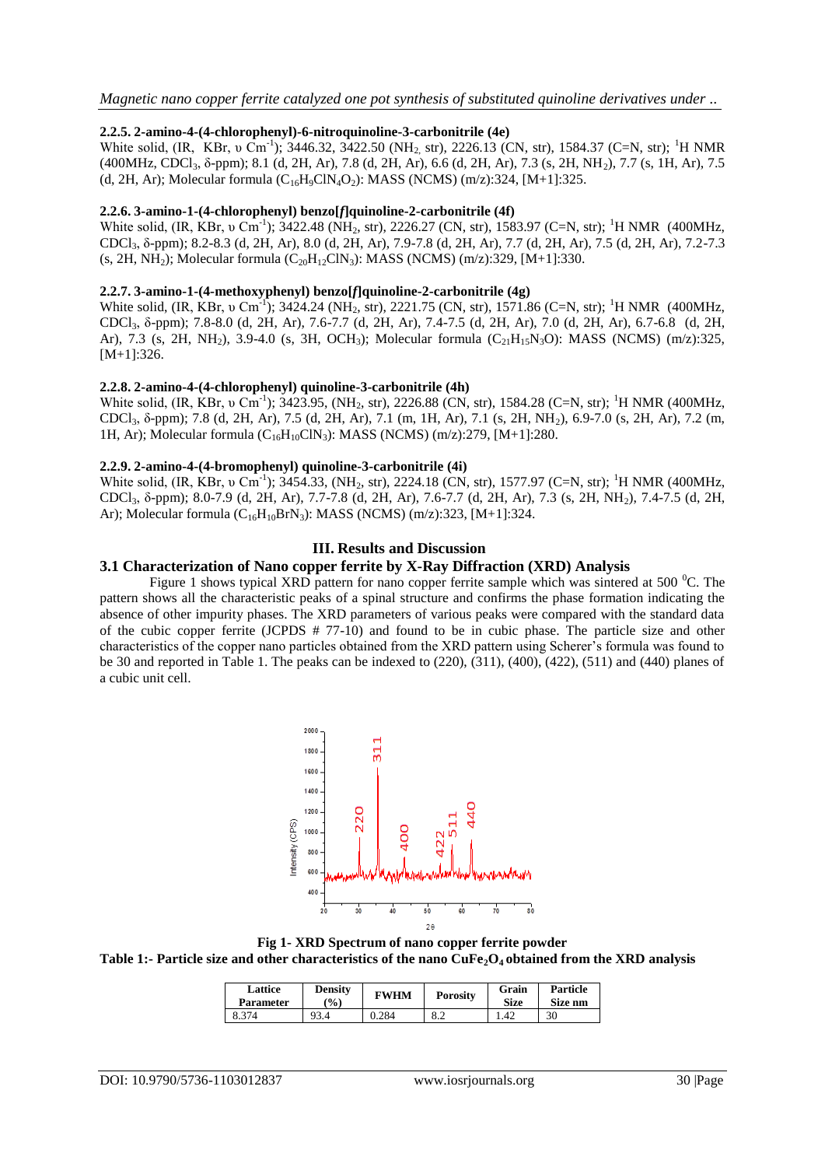#### **2.2.5. 2-amino-4-(4-chlorophenyl)-6-nitroquinoline-3-carbonitrile (4e)**

White solid, (IR, KBr, v Cm<sup>-1</sup>); 3446.32, 3422.50 (NH<sub>2,</sub> str), 2226.13 (CN, str), 1584.37 (C=N, str); <sup>1</sup>H NMR (400MHz, CDCl3, δ-ppm); 8.1 (d, 2H, Ar), 7.8 (d, 2H, Ar), 6.6 (d, 2H, Ar), 7.3 (s, 2H, NH2), 7.7 (s, 1H, Ar), 7.5 (d, 2H, Ar); Molecular formula  $(C_{16}H_9C1N_4O_2)$ : MASS (NCMS) (m/z):324, [M+1]:325.

#### **2.2.6. 3-amino-1-(4-chlorophenyl) benzo[***f***]quinoline-2-carbonitrile (4f)**

White solid,  $(IR, KBr, \nu \text{ Cm}^{-1})$ ; 3422.48 (NH<sub>2</sub>, str), 2226.27 (CN, str), 1583.97 (C=N, str); <sup>1</sup>H NMR (400MHz, CDCl3, δ-ppm); 8.2-8.3 (d, 2H, Ar), 8.0 (d, 2H, Ar), 7.9-7.8 (d, 2H, Ar), 7.7 (d, 2H, Ar), 7.5 (d, 2H, Ar), 7.2-7.3 (s, 2H, NH<sub>2</sub>); Molecular formula  $(C_{20}H_{12}CN_3)$ : MASS (NCMS) (m/z):329, [M+1]:330.

#### **2.2.7. 3-amino-1-(4-methoxyphenyl) benzo[***f***]quinoline-2-carbonitrile (4g)**

White solid,  $(IR, KBr, \nu \text{ Cm}^{-1})$ ; 3424.24 (NH<sub>2</sub>, str), 2221.75 (CN, str), 1571.86 (C=N, str); <sup>1</sup>H NMR (400MHz, CDCl3, δ-ppm); 7.8-8.0 (d, 2H, Ar), 7.6-7.7 (d, 2H, Ar), 7.4-7.5 (d, 2H, Ar), 7.0 (d, 2H, Ar), 6.7-6.8 (d, 2H, Ar), 7.3 (s, 2H, NH<sub>2</sub>), 3.9-4.0 (s, 3H, OCH<sub>3</sub>); Molecular formula (C<sub>21</sub>H<sub>15</sub>N<sub>3</sub>O): MASS (NCMS) (m/z):325, [M+1]:326.

#### **2.2.8. 2-amino-4-(4-chlorophenyl) quinoline-3-carbonitrile (4h)**

White solid, (IR, KBr, v Cm<sup>-1</sup>); 3423.95, (NH<sub>2</sub>, str), 2226.88 (CN, str), 1584.28 (C=N, str); <sup>1</sup>H NMR (400MHz, CDCl3, δ-ppm); 7.8 (d, 2H, Ar), 7.5 (d, 2H, Ar), 7.1 (m, 1H, Ar), 7.1 (s, 2H, NH2), 6.9-7.0 (s, 2H, Ar), 7.2 (m, 1H, Ar); Molecular formula  $(C_{16}H_{10}C/N_3)$ : MASS (NCMS) (m/z):279, [M+1]:280.

#### **2.2.9. 2-amino-4-(4-bromophenyl) quinoline-3-carbonitrile (4i)**

White solid, (IR, KBr, v Cm<sup>-1</sup>); 3454.33, (NH<sub>2</sub>, str), 2224.18 (CN, str), 1577.97 (C=N, str); <sup>1</sup>H NMR (400MHz, CDCl3, δ-ppm); 8.0-7.9 (d, 2H, Ar), 7.7-7.8 (d, 2H, Ar), 7.6-7.7 (d, 2H, Ar), 7.3 (s, 2H, NH2), 7.4-7.5 (d, 2H, Ar); Molecular formula  $(C_{16}H_{10}BrN_3)$ : MASS (NCMS) (m/z):323, [M+1]:324.

## **III. Results and Discussion**

## **3.1 Characterization of Nano copper ferrite by X-Ray Diffraction (XRD) Analysis**

Figure 1 shows typical XRD pattern for nano copper ferrite sample which was sintered at 500  $^{\circ}$ C. The pattern shows all the characteristic peaks of a spinal structure and confirms the phase formation indicating the absence of other impurity phases. The XRD parameters of various peaks were compared with the standard data of the cubic copper ferrite (JCPDS # 77-10) and found to be in cubic phase. The particle size and other characteristics of the copper nano particles obtained from the XRD pattern using Scherer's formula was found to be 30 and reported in Table 1. The peaks can be indexed to (220), (311), (400), (422), (511) and (440) planes of a cubic unit cell.



**Fig 1- XRD Spectrum of nano copper ferrite powder Table 1:- Particle size and other characteristics of the nano CuFe2O4 obtained from the XRD analysis**

| Lattice<br><b>Parameter</b> | <b>Density</b><br>$\mathcal{O}(0)$ | <b>FWHM</b> | <b>Porosity</b> | Grain<br><b>Size</b> | Particle<br>Size nm |
|-----------------------------|------------------------------------|-------------|-----------------|----------------------|---------------------|
| 8.374                       | 93.4                               | 0.284       | 8.2             | .42                  | 30                  |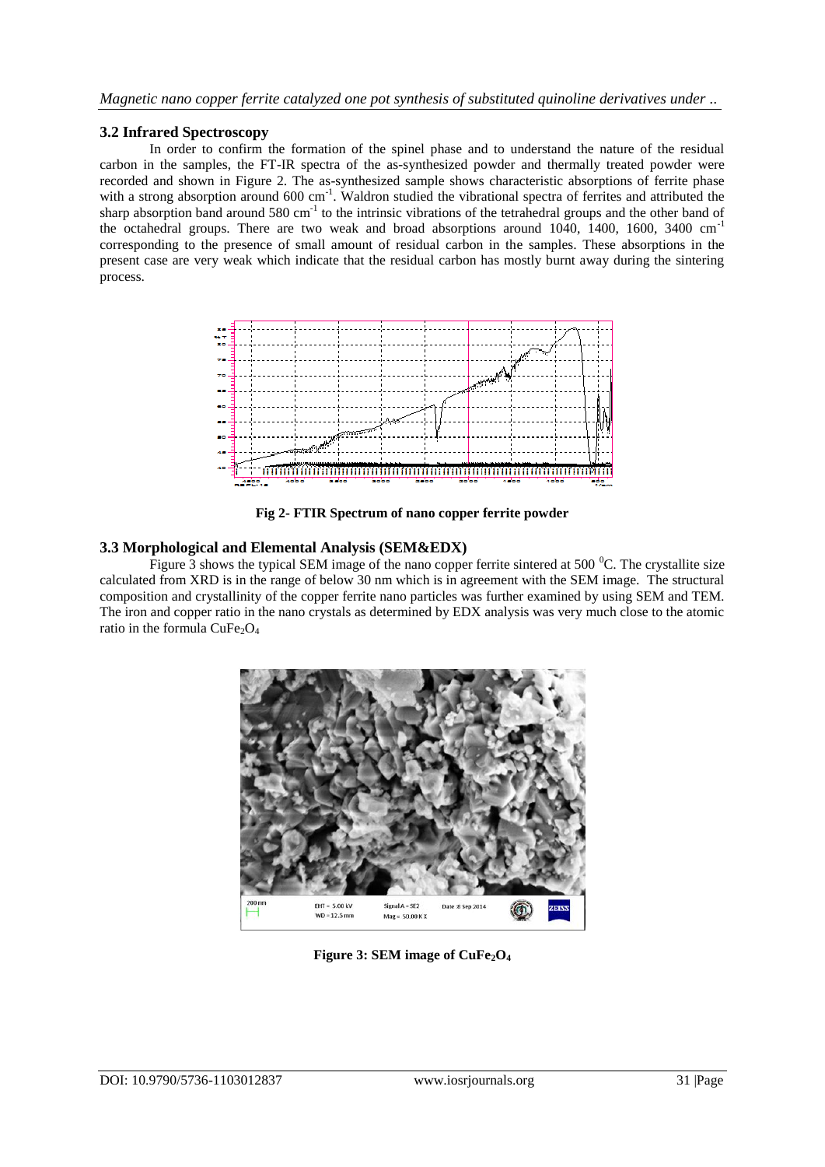## **3.2 Infrared Spectroscopy**

In order to confirm the formation of the spinel phase and to understand the nature of the residual carbon in the samples, the FT-IR spectra of the as-synthesized powder and thermally treated powder were recorded and shown in Figure 2. The as-synthesized sample shows characteristic absorptions of ferrite phase with a strong absorption around  $600 \text{ cm}^{-1}$ . Waldron studied the vibrational spectra of ferrites and attributed the sharp absorption band around  $580 \text{ cm}^{-1}$  to the intrinsic vibrations of the tetrahedral groups and the other band of the octahedral groups. There are two weak and broad absorptions around 1040, 1400, 1600, 3400 cm-1 corresponding to the presence of small amount of residual carbon in the samples. These absorptions in the present case are very weak which indicate that the residual carbon has mostly burnt away during the sintering process.



**Fig 2- FTIR Spectrum of nano copper ferrite powder**

## **3.3 Morphological and Elemental Analysis (SEM&EDX)**

Figure 3 shows the typical SEM image of the nano copper ferrite sintered at 500  $^{\circ}$ C. The crystallite size calculated from XRD is in the range of below 30 nm which is in agreement with the SEM image. The structural composition and crystallinity of the copper ferrite nano particles was further examined by using SEM and TEM. The iron and copper ratio in the nano crystals as determined by EDX analysis was very much close to the atomic ratio in the formula  $CuFe<sub>2</sub>O<sub>4</sub>$ 



**Figure 3: SEM image of CuFe2O4**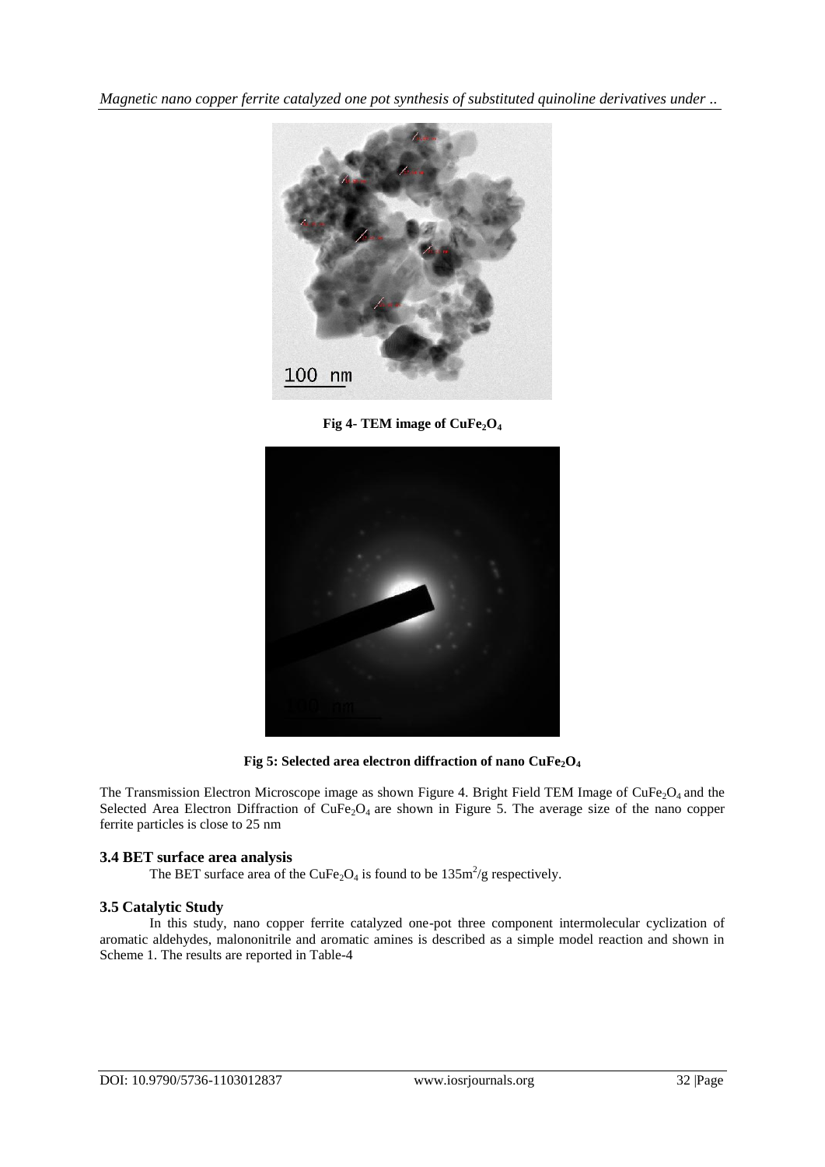*Magnetic nano copper ferrite catalyzed one pot synthesis of substituted quinoline derivatives under ..*



**Fig 4- TEM image of CuFe2O<sup>4</sup>**



**Fig 5: Selected area electron diffraction of nano CuFe2O<sup>4</sup>**

The Transmission Electron Microscope image as shown Figure 4. Bright Field TEM Image of  $CuFe<sub>2</sub>O<sub>4</sub>$  and the Selected Area Electron Diffraction of CuFe<sub>2</sub>O<sub>4</sub> are shown in Figure 5. The average size of the nano copper ferrite particles is close to 25 nm

## **3.4 BET surface area analysis**

The BET surface area of the CuFe<sub>2</sub>O<sub>4</sub> is found to be  $135 \text{m}^2/\text{g}$  respectively.

## **3.5 Catalytic Study**

In this study, nano copper ferrite catalyzed one-pot three component intermolecular cyclization of aromatic aldehydes, malononitrile and aromatic amines is described as a simple model reaction and shown in Scheme 1. The results are reported in Table-4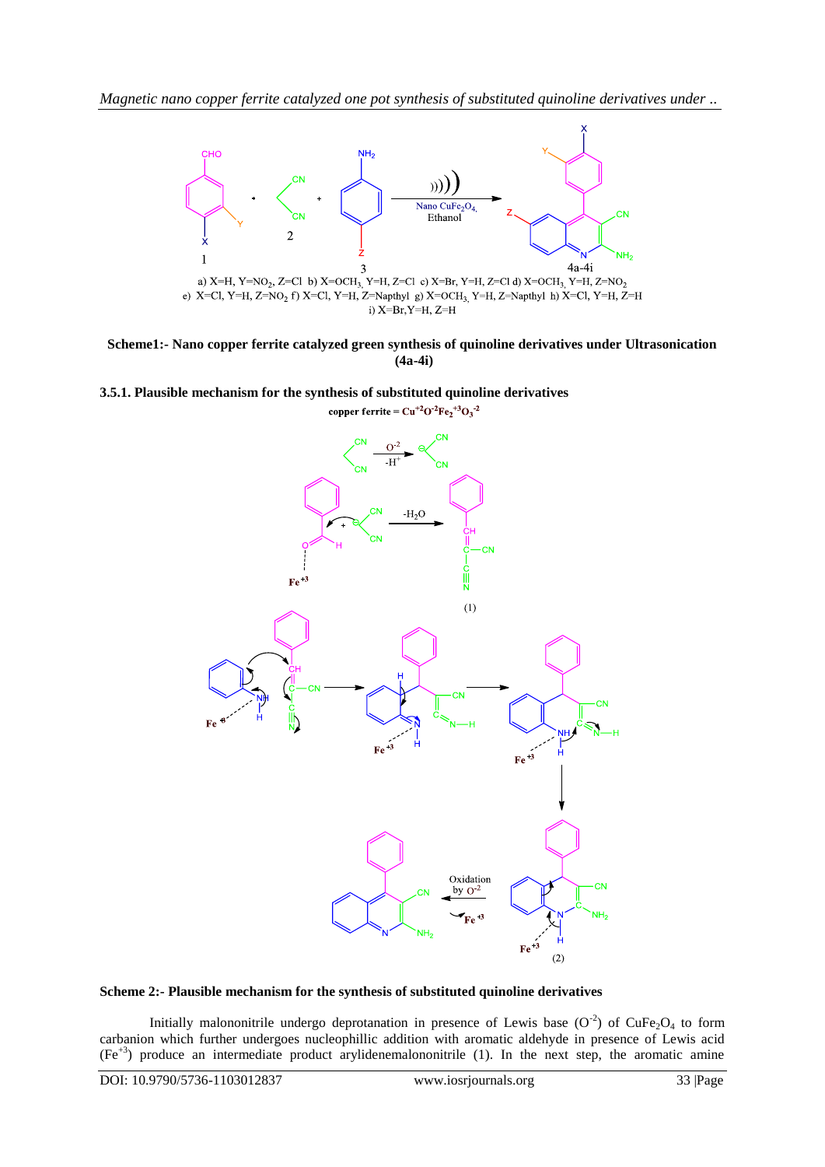

**Scheme1:- Nano copper ferrite catalyzed green synthesis of quinoline derivatives under Ultrasonication (4a-4i)**

copper ferrite =  $Cu^{+2}O^{2}Fe_2^{+3}O_3^{-2}$ 

#### **3.5.1. Plausible mechanism for the synthesis of substituted quinoline derivatives**

-H  $-H<sub>2</sub>O$ W  $Fe^{-3}$  $(1)$  $Fe^{-3}$  $Fe^{-3}$ Oxidation **CN** by  $O<sup>2</sup>$  $Fe^{-3}$  $NH<sub>2</sub>$  $(2)$ 

#### **Scheme 2:- Plausible mechanism for the synthesis of substituted quinoline derivatives**

Initially malononitrile undergo deprotanation in presence of Lewis base  $(O<sup>2</sup>)$  of CuFe<sub>2</sub>O<sub>4</sub> to form carbanion which further undergoes nucleophillic addition with aromatic aldehyde in presence of Lewis acid  $(Fe<sup>+3</sup>)$  produce an intermediate product arylidenemalononitrile (1). In the next step, the aromatic amine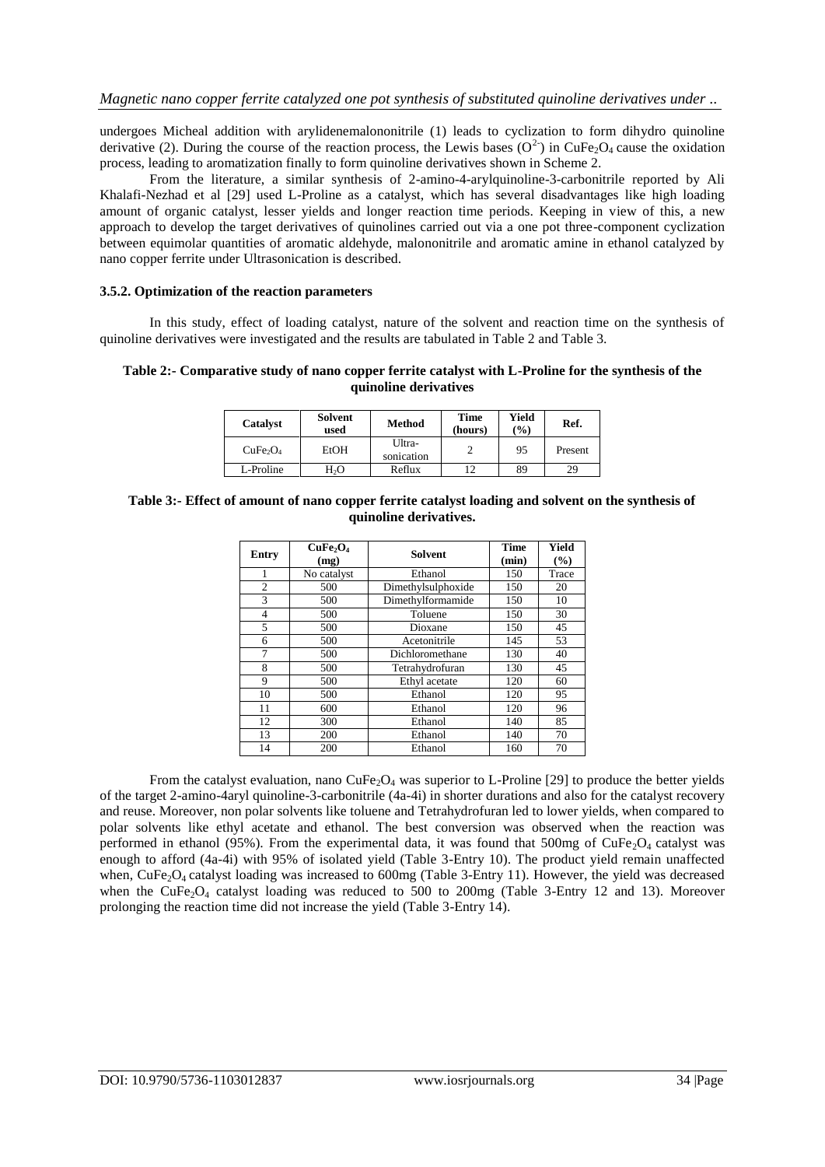undergoes Micheal addition with arylidenemalononitrile (1) leads to cyclization to form dihydro quinoline derivative (2). During the course of the reaction process, the Lewis bases ( $O^2$ ) in CuFe<sub>2</sub>O<sub>4</sub> cause the oxidation process, leading to aromatization finally to form quinoline derivatives shown in Scheme 2.

From the literature, a similar synthesis of 2-amino-4-arylquinoline-3-carbonitrile reported by Ali Khalafi-Nezhad et al [29] used L-Proline as a catalyst, which has several disadvantages like high loading amount of organic catalyst, lesser yields and longer reaction time periods. Keeping in view of this, a new approach to develop the target derivatives of quinolines carried out via a one pot three-component cyclization between equimolar quantities of aromatic aldehyde, malononitrile and aromatic amine in ethanol catalyzed by nano copper ferrite under Ultrasonication is described.

#### **3.5.2. Optimization of the reaction parameters**

In this study, effect of loading catalyst, nature of the solvent and reaction time on the synthesis of quinoline derivatives were investigated and the results are tabulated in Table 2 and Table 3.

#### **Table 2:- Comparative study of nano copper ferrite catalyst with L-Proline for the synthesis of the quinoline derivatives**

| Catalyst                         | <b>Solvent</b><br>used | Method               | Time<br>(hours) | Yield<br>$\binom{0}{0}$ | Ref.    |
|----------------------------------|------------------------|----------------------|-----------------|-------------------------|---------|
| CuFe <sub>2</sub> O <sub>4</sub> | EtOH                   | Ultra-<br>sonication |                 | 95                      | Present |
| L-Proline                        | H,O                    | Reflux               |                 | 89                      | 29      |

#### **Table 3:- Effect of amount of nano copper ferrite catalyst loading and solvent on the synthesis of quinoline derivatives.**

| <b>Entry</b>   | CuFe <sub>2</sub> O <sub>4</sub><br>(mg) | <b>Solvent</b>     | <b>Time</b><br>(min) | Yield<br>(%) |
|----------------|------------------------------------------|--------------------|----------------------|--------------|
|                | No catalyst                              | Ethanol            | 150                  | Trace        |
| $\overline{c}$ | 500                                      | Dimethylsulphoxide | 150                  | 20           |
| 3              | 500                                      | Dimethylformamide  | 150                  | 10           |
| 4              | 500                                      | Toluene            | 150                  | 30           |
| 5              | 500                                      | Dioxane            | 150                  | 45           |
| 6              | 500                                      | Acetonitrile       | 145                  | 53           |
|                | 500                                      | Dichloromethane    | 130                  | 40           |
| 8              | 500                                      | Tetrahydrofuran    | 130                  | 45           |
| 9              | 500                                      | Ethyl acetate      | 120                  | 60           |
| 10             | 500                                      | Ethanol            | 120                  | 95           |
| 11             | 600                                      | Ethanol            | 120                  | 96           |
| 12             | 300                                      | Ethanol            | 140                  | 85           |
| 13             | 200                                      | Ethanol            | 140                  | 70           |
| 14             | 200                                      | Ethanol            | 160                  | 70           |

From the catalyst evaluation, nano  $\text{CuFe}_2\text{O}_4$  was superior to L-Proline [29] to produce the better yields of the target 2-amino-4aryl quinoline-3-carbonitrile (4a-4i) in shorter durations and also for the catalyst recovery and reuse. Moreover, non polar solvents like toluene and Tetrahydrofuran led to lower yields, when compared to polar solvents like ethyl acetate and ethanol. The best conversion was observed when the reaction was performed in ethanol (95%). From the experimental data, it was found that 500mg of  $CuFe<sub>2</sub>O<sub>4</sub>$  catalyst was enough to afford (4a-4i) with 95% of isolated yield (Table 3-Entry 10). The product yield remain unaffected when, CuFe<sub>2</sub>O<sub>4</sub> catalyst loading was increased to 600mg (Table 3-Entry 11). However, the yield was decreased when the CuFe<sub>2</sub>O<sub>4</sub> catalyst loading was reduced to 500 to 200mg (Table 3-Entry 12 and 13). Moreover prolonging the reaction time did not increase the yield (Table 3-Entry 14).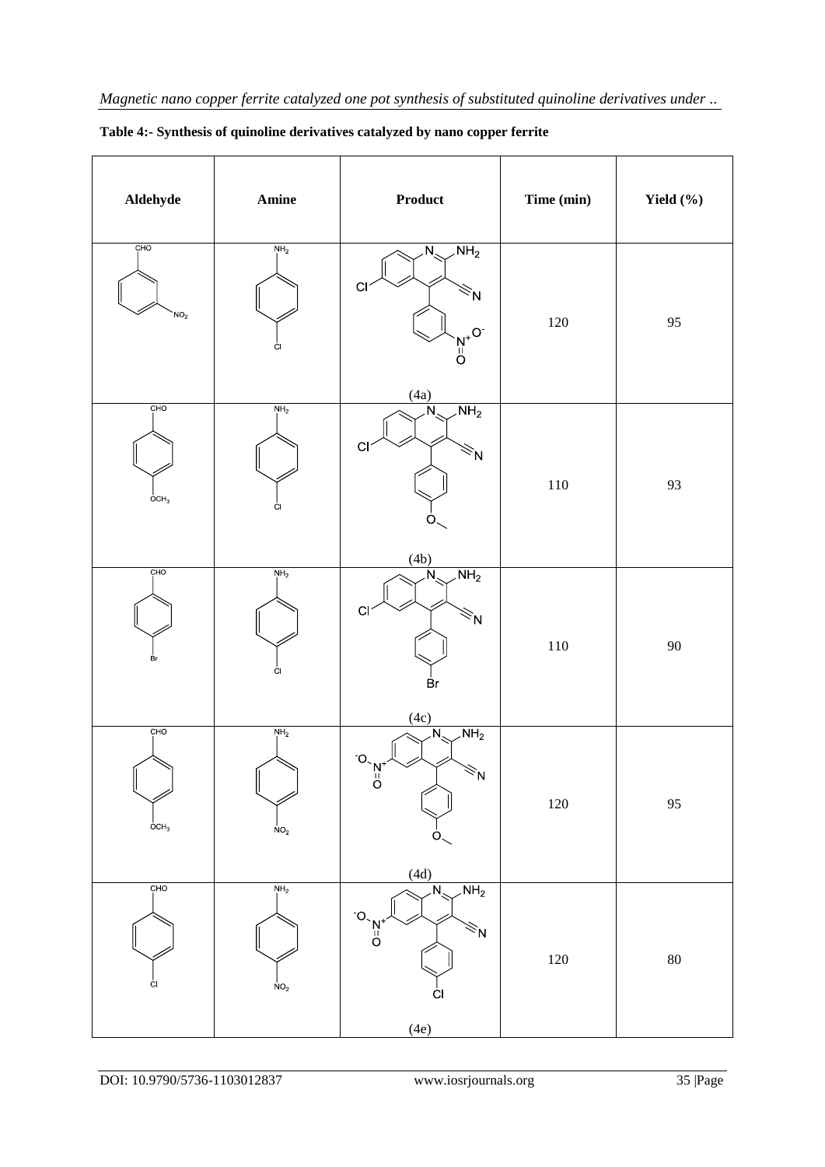| Aldehyde                                | $A \textbf{mine}$                  | <b>Product</b>                                                                                                                                                   | Time (min) | Yield $(\% )$ |
|-----------------------------------------|------------------------------------|------------------------------------------------------------------------------------------------------------------------------------------------------------------|------------|---------------|
| CHO<br>NO <sub>2</sub>                  | NH <sub>2</sub><br>ĊI.             | $\overline{\text{NH}_2}$<br>$\overline{\mathsf{N}_{\mathsf{N}}}$<br>C <sub>1</sub><br><sup>خ</sup> N<br>$\begin{bmatrix} N^+ & O \\ O & O \end{bmatrix}$<br>(4a) | 120        | 95            |
| CHO<br>OCH <sub>3</sub>                 | NH <sub>2</sub><br>Ċ.              | $\overline{\text{NH}_2}$<br>N<br>C <sub>l</sub><br>$\leq N$<br>Ő<br>(4b)                                                                                         | $110\,$    | 93            |
| CHO<br>вŗ                               | NH <sub>2</sub><br>ĊI              | NH <sub>2</sub><br>$\overline{\mathsf{N}}$<br>C1<br>$\tilde{z}$ N<br>Br<br>(4c)                                                                                  | $110\,$    | 90            |
| CHO<br>$\mathsf{I}$<br>OCH <sub>3</sub> | NH <sub>2</sub><br>NO <sub>2</sub> | $\overline{\text{NH}_2}$<br>$\overline{\mathsf{N}_{\mathsf{S}}}$<br>O<br>$\leq N$<br>$\sigma$<br>(4d)                                                            | $120\,$    | 95            |
| CHO<br>ĊI                               | NH <sub>2</sub><br>NO <sub>2</sub> | NH <sub>2</sub><br>$\overline{\mathsf{N}}$<br>O<br>$O = 2$<br>₹N<br>С<br>(4e)                                                                                    | $120\,$    | 80            |

|  |  | Table 4:- Synthesis of quinoline derivatives catalyzed by nano copper ferrite |  |  |
|--|--|-------------------------------------------------------------------------------|--|--|
|--|--|-------------------------------------------------------------------------------|--|--|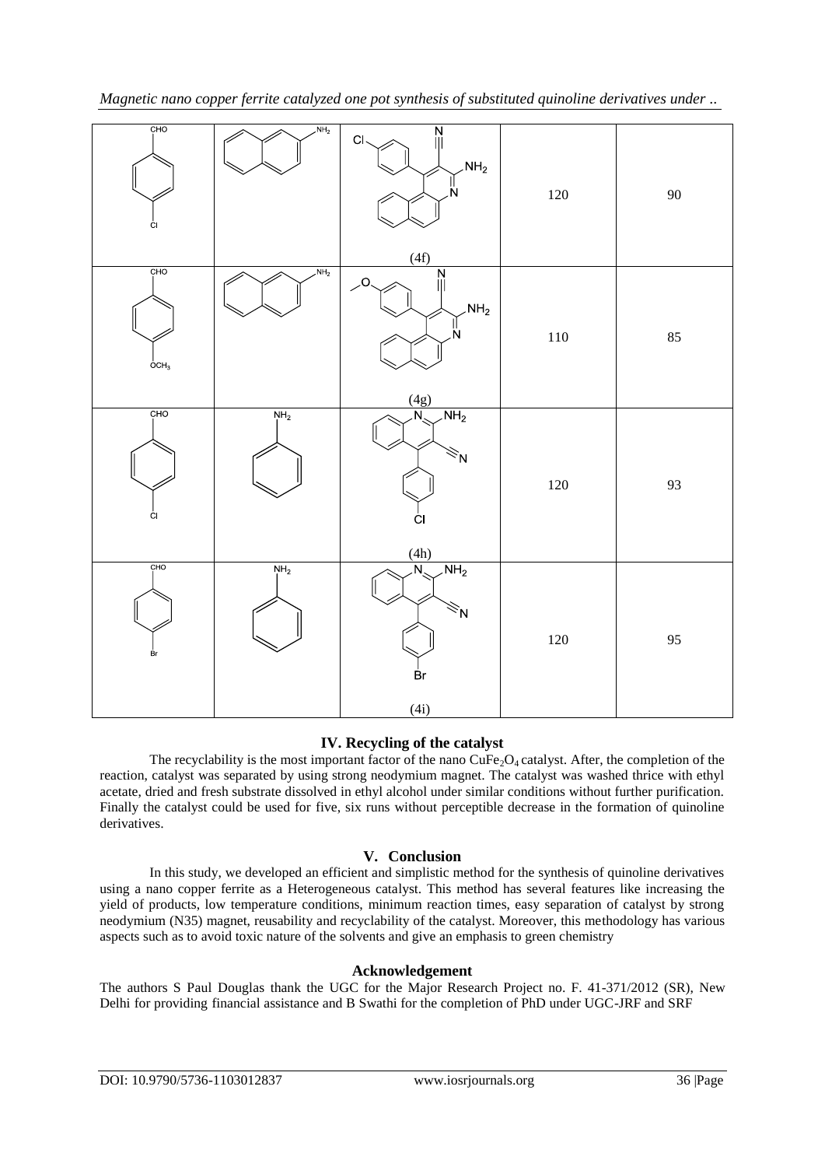| CHO<br>Ċ.               | NH <sub>2</sub> | $\frac{N}{\parallel}$<br>C1<br>$\mathsf{NH}_2$<br>N<br>(4f)    | $120\,$ | $90\,$ |
|-------------------------|-----------------|----------------------------------------------------------------|---------|--------|
| CHO<br>OCH <sub>3</sub> | $\mathsf{NH}_2$ | $\overline{N}$<br>$\overline{O}$<br>$NH_2$<br>N<br>(4g)        | 110     | 85     |
| CHO<br>ĊI               | $N_{1}H_{2}$    | NH <sub>2</sub><br>Ñ<br>$\lesssim_{\mathsf{N}}$<br>CI<br>(4h)  | $120\,$ | 93     |
| CHO<br>Br               | NH <sub>2</sub> | NH <sub>2</sub><br>$\overline{\mathsf{N}}$<br>ŽΝ<br>Br<br>(4i) | $120\,$ | 95     |

## **IV. Recycling of the catalyst**

The recyclability is the most important factor of the nano CuFe<sub>2</sub>O<sub>4</sub> catalyst. After, the completion of the reaction, catalyst was separated by using strong neodymium magnet. The catalyst was washed thrice with ethyl acetate, dried and fresh substrate dissolved in ethyl alcohol under similar conditions without further purification. Finally the catalyst could be used for five, six runs without perceptible decrease in the formation of quinoline derivatives.

## **V. Conclusion**

In this study, we developed an efficient and simplistic method for the synthesis of quinoline derivatives using a nano copper ferrite as a Heterogeneous catalyst. This method has several features like increasing the yield of products, low temperature conditions, minimum reaction times, easy separation of catalyst by strong neodymium (N35) magnet, reusability and recyclability of the catalyst. Moreover, this methodology has various aspects such as to avoid toxic nature of the solvents and give an emphasis to green chemistry

## **Acknowledgement**

The authors S Paul Douglas thank the UGC for the Major Research Project no. F. 41-371/2012 (SR), New Delhi for providing financial assistance and B Swathi for the completion of PhD under UGC-JRF and SRF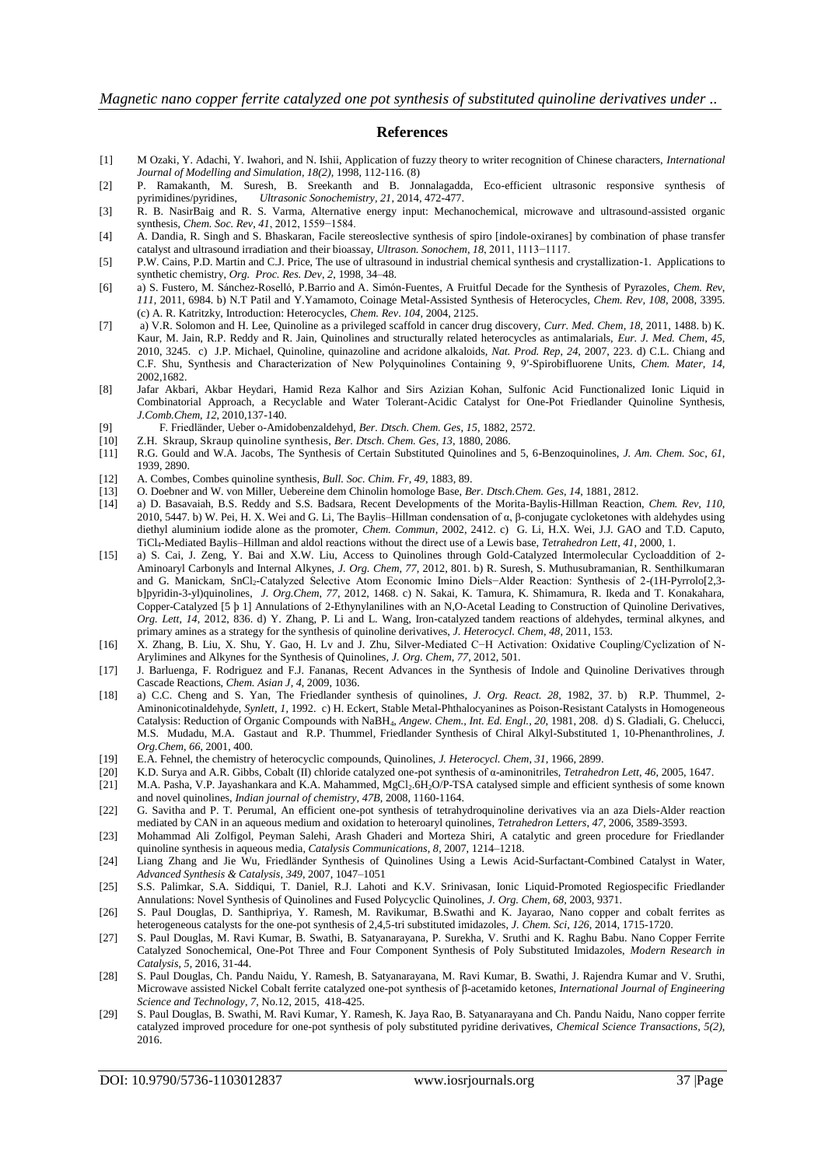#### **References**

- [1] M Ozaki, Y. Adachi, Y. Iwahori, and N. Ishii, Application of fuzzy theory to writer recognition of Chinese characters, *International Journal of Modelling and Simulation, 18(2),* 1998, 112-116. (8)
- [2] P. Ramakanth, M. Suresh, B. Sreekanth and B. Jonnalagadda, Eco-efficient ultrasonic responsive synthesis of pyrimidines/pyridines, *Ultrasonic Sonochemistry, 21*, 2014, 472-477.
- [3] R. B. NasirBaig and R. S. Varma, Alternative energy input: Mechanochemical, microwave and ultrasound-assisted organic synthesis, *Chem. Soc. Rev*, *41*, 2012, 1559−1584.
- [4] A. Dandia, R. Singh and S. Bhaskaran, Facile stereoslective synthesis of spiro [indole-oxiranes] by combination of phase transfer catalyst and ultrasound irradiation and their bioassay, *Ultrason. Sonochem*, *18*, 2011, 1113−1117.
- [5] P.W. Cains, P.D. Martin and C.J. Price, The use of ultrasound in industrial chemical synthesis and crystallization-1. Applications to synthetic chemistry, *Org. Proc. Res. Dev*, *2*, 1998, 34–48.
- [6] a) S. Fustero, M. Sánchez-Roselló, P.Barrio and A. Simón-Fuentes, A Fruitful Decade for the Synthesis of Pyrazoles, *Chem. Rev*, *111*, 2011, 6984. b) N.T Patil and Y.Yamamoto, Coinage Metal-Assisted Synthesis of Heterocycles, *Chem. Rev, 108*, 2008, 3395. (c) A. R. Katritzky, Introduction: Heterocycles, *Chem. Rev*. *104,* 2004, 2125.
- [7] a) V.R. Solomon and H. Lee, Quinoline as a privileged scaffold in cancer drug discovery, *Curr. Med. Chem*, *18*, 2011, 1488. b) K. Kaur, M. Jain, R.P. Reddy and R. Jain, Quinolines and structurally related heterocycles as antimalarials, *Eur. J. Med. Chem*, *45*, 2010, 3245. c) J.P. Michael, Quinoline, quinazoline and acridone alkaloids, *Nat. Prod. Rep*, *24*, 2007, 223. d) C.L. Chiang and C.F. Shu, Synthesis and Characterization of New Polyquinolines Containing 9, 9′-Spirobifluorene Units, *Chem. Mater*, *14,* 2002,1682.
- [8] Jafar Akbari, Akbar Heydari, Hamid Reza Kalhor and Sirs Azizian Kohan, Sulfonic Acid Functionalized Ionic Liquid in Combinatorial Approach, a Recyclable and Water Tolerant-Acidic Catalyst for One-Pot Friedlander Quinoline Synthesis, *J.Comb.Chem*, *12*, 2010,137-140.
- [9] F. Friedländer, Ueber o-Amidobenzaldehyd, *Ber. Dtsch. Chem. Ges*, *15*, 1882, 2572.
- [10] Z.H. Skraup, Skraup quinoline synthesis, *Ber. Dtsch. Chem. Ges*, *13*, 1880, 2086.
- [11] R.G. Gould and W.A. Jacobs, The Synthesis of Certain Substituted Quinolines and 5, 6-Benzoquinolines, *J. Am. Chem. Soc*, *61*, 1939, 2890.
- [12] A. Combes, Combes quinoline synthesis, *Bull. Soc. Chim. Fr*, *49*, 1883, 89.
- [13] O. Doebner and W. von Miller, Uebereine dem Chinolin homologe Base, *Ber. Dtsch.Chem. Ges*, *14*, 1881, 2812.
- [14] a) D. Basavaiah, B.S. Reddy and S.S. Badsara, Recent Developments of the Morita-Baylis-Hillman Reaction, *Chem. Rev*, *110*, 2010, 5447. b) W. Pei, H. X. Wei and G. Li, The Baylis–Hillman condensation of α, β-conjugate cycloketones with aldehydes using diethyl aluminium iodide alone as the promoter, *Chem. Commun*, 2002, 2412. c) G. Li, H.X. Wei, J.J. GAO and T.D. Caputo, TiCl4-Mediated Baylis–Hillman and aldol reactions without the direct use of a Lewis base, *Tetrahedron Lett*, *41*, 2000, 1.
- [15] a) S. Cai, J. Zeng, Y. Bai and X.W. Liu, Access to Quinolines through Gold-Catalyzed Intermolecular Cycloaddition of 2- Aminoaryl Carbonyls and Internal Alkynes, *J. Org. Chem*, *77*, 2012, 801. b) R. Suresh, S. Muthusubramanian, R. Senthilkumaran and G. Manickam, SnCl2-Catalyzed Selective Atom Economic Imino Diels-Alder Reaction: Synthesis of 2-(1H-Pyrrolo[2,3b]pyridin-3-yl)quinolines, *J. Org.Chem*, *77*, 2012, 1468. c) N. Sakai, K. Tamura, K. Shimamura, R. Ikeda and T. Konakahara, Copper-Catalyzed [5 þ 1] Annulations of 2-Ethynylanilines with an N,O-Acetal Leading to Construction of Quinoline Derivatives, *Org. Lett*, *14*, 2012, 836. d) Y. Zhang, P. Li and L. Wang, Iron-catalyzed tandem reactions of aldehydes, terminal alkynes, and primary amines as a strategy for the synthesis of quinoline derivatives, *J. Heterocycl. Chem*, *48*, 2011, 153.
- [16] X. Zhang, B. Liu, X. Shu, Y. Gao, H. Lv and J. Zhu, Silver-Mediated C−H Activation: Oxidative Coupling/Cyclization of N-Arylimines and Alkynes for the Synthesis of Quinolines, *J. Org. Chem*, *77*, 2012, 501.
- [17] J. Barluenga, F. Rodriguez and F.J. Fananas, Recent Advances in the Synthesis of Indole and Quinoline Derivatives through Cascade Reactions, *Chem. Asian J*, *4*, 2009, 1036.
- [18] a) C.C. Cheng and S. Yan, The Friedlander synthesis of quinolines, *J. Org. React. 28,* 1982, 37. b) R.P. Thummel, 2- Aminonicotinaldehyde, *Synlett*, *1*, 1992. c) H. Eckert, Stable Metal-Phthalocyanines as Poison-Resistant Catalysts in Homogeneous Catalysis: Reduction of Organic Compounds with NaBH4, *Angew. Chem., Int. Ed. Engl.*, *20*, 1981, 208. d) S. Gladiali, G. Chelucci, M.S. Mudadu, M.A. Gastaut and R.P. Thummel*,* Friedlander Synthesis of Chiral Alkyl-Substituted 1, 10-Phenanthrolines, *J. Org.Chem*, *66*, 2001, 400.
- [19] E.A. Fehnel, the chemistry of heterocyclic compounds, Quinolines, *J. Heterocycl. Chem*, *31*, 1966, 2899.
- [20] K.D. Surya and A.R. Gibbs, Cobalt (II) chloride catalyzed one-pot synthesis of α-aminonitriles, *Tetrahedron Lett*, *46*, 2005, 1647.
- [21] M.A. Pasha, V.P. Jayashankara and K.A. Mahammed, MgCl<sub>2</sub>.6H<sub>2</sub>O/P-TSA catalysed simple and efficient synthesis of some known and novel quinolines, *Indian journal of chemistry, 47B*, 2008, 1160-1164.
- [22] G. Savitha and P. T. Perumal, An efficient one-pot synthesis of tetrahydroquinoline derivatives via an aza Diels-Alder reaction mediated by CAN in an aqueous medium and oxidation to heteroaryl quinolines, *Tetrahedron Letters*, *47*, 2006, 3589-3593.
- [23] Mohammad Ali Zolfigol, Peyman Salehi, Arash Ghaderi and Morteza Shiri, A catalytic and green procedure for Friedlander quinoline synthesis in aqueous media, *Catalysis Communications*, *8*, 2007, 1214–1218.
- [24] Liang Zhang and Jie Wu, Friedländer Synthesis of Quinolines Using a Lewis Acid-Surfactant-Combined Catalyst in Water, *Advanced Synthesis & Catalysis*, *349*, 2007, 1047–1051
- [25] S.S. Palimkar, S.A. Siddiqui, T. Daniel, R.J. Lahoti and K.V. Srinivasan, Ionic Liquid-Promoted Regiospecific Friedlander Annulations: Novel Synthesis of Quinolines and Fused Polycyclic Quinolines, *J. Org. Chem*, *68*, 2003, 9371.
- [26] S. Paul Douglas, D. Santhipriya, Y. Ramesh, M. Ravikumar, B.Swathi and K. Jayarao, Nano copper and cobalt ferrites as heterogeneous catalysts for the one-pot synthesis of 2,4,5-tri substituted imidazoles, *J. Chem. Sci*, *126*, 2014, 1715-1720.
- [27] S. Paul Douglas, M. Ravi Kumar, B. Swathi, B. Satyanarayana, P. Surekha, V. Sruthi and K. Raghu Babu. Nano Copper Ferrite Catalyzed Sonochemical, One-Pot Three and Four Component Synthesis of Poly Substituted Imidazoles, *Modern Research in Catalysis*, *5*, 2016, 31-44.
- [28] S. Paul Douglas, Ch. Pandu Naidu, Y. Ramesh, B. Satyanarayana, M. Ravi Kumar, B. Swathi, J. Rajendra Kumar and V. Sruthi, Microwave assisted Nickel Cobalt ferrite catalyzed one-pot synthesis of β-acetamido ketones, *International Journal of Engineering Science and Technology*, *7*, No.12, 2015, 418-425.
- [29] S. Paul Douglas, B. Swathi, M. Ravi Kumar, Y. Ramesh, K. Jaya Rao, B. Satyanarayana and Ch. Pandu Naidu, Nano copper ferrite catalyzed improved procedure for one-pot synthesis of poly substituted pyridine derivatives, *Chemical Science Transactions*, *5(2)*, 2016.